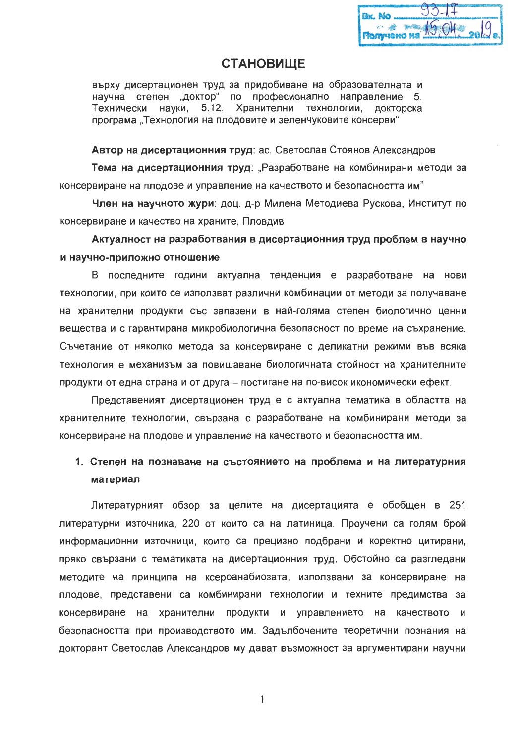| <b>Bx. No </b> | $93 - 17$                |  |
|----------------|--------------------------|--|
|                | Monyueno Ha 19,04. 2019. |  |

# **СТАНОВИЩЕ**

върху дисертационен труд за придобиване на образователната и научна степен "доктор" по професионално направление 5. Технически науки. 5.12. Хранителни технологии. докторска програма "Технология на плодовите и зеленчуковите консерви"

Автор на дисертационния труд: ас. Светослав Стоянов Александров

Тема на дисертационния труд: "Разработване на комбинирани методи за консервиране на плодове и управление на качеството и безопасността им"

Член на научното жури: доц. д-р Милена Методиева Рускова, Институт по консервиране и качество на храните. Пловдив

Актуалност на разработвания в дисертационния труд проблем в научно и научно-приложно отношение

В последните години актуална тенденция е разработване на нови технологии, при които се използват различни комбинации от методи за получаване на хранителни продукти със запазени в най-голяма степен биологично ценни вещества и с гарантирана микробиологична безопасност по време на съхранение. Съчетание от няколко метода за консервиране с деликатни режими във всяка технология е механизъм за повишаване биологичната стойност на хранителните продукти от една страна и от друга – постигане на по-висок икономически ефект.

Представеният дисертационен труд е с актуална тематика в областта на хранителните технологии, свързана с разработване на комбинирани методи за консервиране на плодове и управление на качеството и безопасността им.

## 1. Степен на познаване на състоянието на проблема и на литературния материал

Литературният обзор за целите на дисертацията е обобщен в 251 литературни източника, 220 от които са на латиница. Проучени са голям брой информационни източници, които са прецизно подбрани и коректно цитирани, пряко свързани с тематиката на дисертационния труд. Обстойно са разгледани методите на принципа на ксероанабиозата, използвани за консервиране на плодове, представени са комбинирани технологии и техните предимства за консервиране на хранителни продукти и управлението на качеството и безопасността при производството им. Задълбочените теоретични познания на докторант Светослав Александров му дават възможност за аргументирани научни

1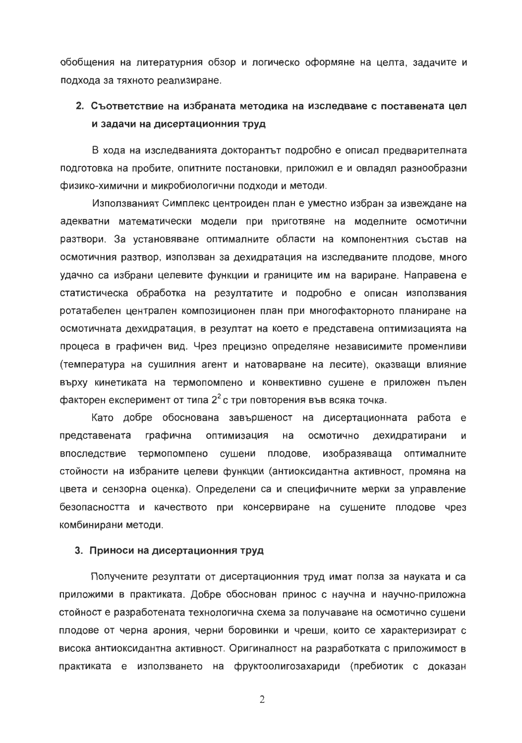обобщения на литературния обзор и логическо оформяне на целта, задачите и подхода за тяхното реализиране.

# 2. Съответствие на избраната методика на изследване с поставената цел и задачи на дисертационния труд

В хода на изследванията докторантът подробно е описал предварителната подготовка на пробите, опитните постановки, приложил е и овладял разнообразни физико-химични и микробиологични подходи и методи.

Използваният Симплекс центроиден план е уместно избран за извеждане на адекватни математически модели при приготвяне на моделните осмотични разтвори. За установяване оптималните области на компонентния състав на осмотичния разтвор, използван за дехидратация на изследваните плодове, много удачно са избрани целевите функции и границите им на вариране. Направена е статистическа обработка на резултатите и подробно е описан използвания ротатабелен централен композиционен план при многофакторното планиране на осмотичната дехидратация, в резултат на което е представена оптимизацията на процеса в графичен вид. Чрез прецизно определяне независимите променливи (температура на сушилния агент и натоварване на лесите), оказващи влияние върху кинетиката на термопомпено и конвективно сушене е приложен пълен факторен експеримент от типа  $2^2$  с три повторения във всяка точка.

Като добре обоснована завършеност на дисертационната работа е представената оптимизация графична на осмотично дехидратирани И впоследствие термопомпено сушени плодове, изобразяваща оптималните стойности на избраните целеви функции (антиоксидантна активност, промяна на цвета и сензорна оценка). Определени са и специфичните мерки за управление безопасността и качеството при консервиране на сушените плодове чрез комбинирани методи.

## 3. Приноси на дисертационния труд

Получените резултати от дисертационния труд имат полза за науката и са приложими в практиката. Добре обоснован принос с научна и научно-приложна стойност е разработената технологична схема за получаване на осмотично сушени плодове от черна арония, черни боровинки и чреши, които се характеризират с висока антиоксидантна активност. Оригиналност на разработката с приложимост в практиката е използването на фруктоолигозахариди (пребиотик с доказан

 $\overline{2}$